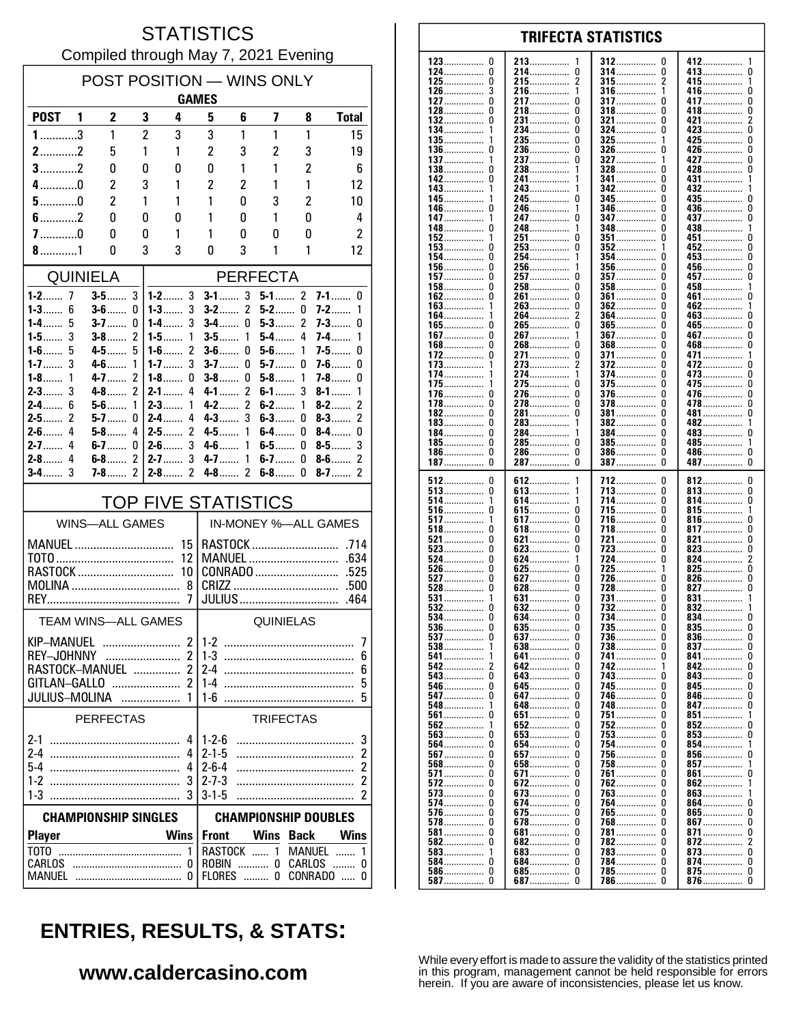### **STATISTICS** Compiled through May 7, 2021 Evening

| POST POSITION - WINS ONLY<br><b>GAMES</b>      |                       |                         |                     |                                                 |                                                                       |                          |                  |                                  |                                  |  |
|------------------------------------------------|-----------------------|-------------------------|---------------------|-------------------------------------------------|-----------------------------------------------------------------------|--------------------------|------------------|----------------------------------|----------------------------------|--|
| <b>POST</b>                                    | -1                    | $\overline{2}$          |                     | 3<br>4                                          | 5                                                                     | 6                        | 7                | 8                                | <b>Total</b>                     |  |
| $1$ 3                                          |                       | 1                       |                     | $\overline{c}$<br>3                             | 3                                                                     | 1                        | 1                | 1                                | 15                               |  |
| $2$ 2                                          |                       | 5                       |                     | 1<br>1                                          | 2                                                                     | 3                        | $\overline{2}$   | 3                                | 19                               |  |
| $3$ 2                                          |                       | 0                       |                     | 0<br>0                                          | 0                                                                     | 1                        | 1                | 2                                | 6                                |  |
| $4$ 0                                          |                       | 2                       |                     | 3<br>1                                          | 2                                                                     | 2                        | 1                | 1                                | 12                               |  |
| $5$ 0                                          |                       | $\overline{\mathbf{c}}$ |                     | 1<br>1                                          | 1                                                                     | 0                        | 3                | 2                                | 10                               |  |
| $6$ 2<br>$7$ 0                                 |                       | 0                       |                     | 0<br>0                                          | 1<br>1                                                                | 0                        | 1                | 0                                | 4<br>$\overline{c}$              |  |
| $8$ 1                                          |                       | 0<br>0                  |                     | 0<br>1<br>3<br>3                                | 0                                                                     | 0<br>3                   | 0<br>1           | 0<br>1                           | 12                               |  |
| <b>QUINIELA</b>                                |                       |                         |                     |                                                 |                                                                       |                          |                  |                                  |                                  |  |
| $1-2$<br>7                                     |                       | $3-5$                   | 3                   | $1 - 2$ 3                                       | <b>PERFECTA</b><br>3<br>$\mathfrak z$<br>$7-1$<br>$3-1$<br>$5-1$<br>0 |                          |                  |                                  |                                  |  |
| 6<br>$1 - 3$                                   |                       | $3-6$                   | 0                   | $1 - 3$<br>3                                    | $3-2$                                                                 | 2                        | $5-2$            | 0                                | $7-2$<br>1                       |  |
| $1-4$<br>5                                     |                       | $3 - 7$                 | 0                   | 3<br>1-4……                                      | $3-4$                                                                 | 0                        | $5-3$            | 2                                | $7 - 3$<br>0                     |  |
| 3<br>1-5 $\dots$<br>$1 - 6$<br>5               |                       | $3-8$<br>4-5 —          | 2<br>5              | 1<br>$1-5$<br>$\overline{\mathcal{C}}$<br>$1-6$ | $3-5$<br>$3-6$                                                        | 1<br>0                   | $5-4$<br>$5-6$   | 4<br>1                           | 7-4……<br>1<br>$7 - 5$<br>0       |  |
| 3<br>$1 - 7$                                   |                       | $4-6$                   | 1                   | 3<br>$1 - 7$                                    | $3-7$                                                                 | 0                        | $5-7$            | 0                                | $7-6$<br>0                       |  |
| $1-8$<br>1<br>3<br>$2-3$                       |                       | $4 - 7$<br>$4-8$        | 2<br>$\overline{2}$ | $1-8$<br>0<br>$2 - 1$<br>4                      | $3-8$<br>$4 - 1$                                                      | 0<br>$\overline{2}$      | $5 - 8$<br>$6-1$ | 1<br>3                           | $7-8$<br>0<br>$8-1$              |  |
| 6<br>$2-4$                                     |                       | $5-6$                   | 1                   | $2-3$<br>1                                      | $4-2$                                                                 | $\overline{\phantom{a}}$ | $6-2$            | 1                                | 1<br>$\overline{2}$<br>$8-2$     |  |
| $\mathcal{P}$<br>$2-5$                         |                       | $5-7$                   | 0                   | $2-4$<br>4                                      | $4 - 3$                                                               | 3                        | $6-3$            | 0                                | $\overline{c}$<br>$8-3$          |  |
| $2-6$<br>4<br>$2 - 7$<br>4                     |                       | $5-8$<br>6-7……          | 4<br>0              | 2<br>$2-5$<br>3<br>$2-6$                        | 4-5……<br>$4-6$                                                        | 1<br>1                   | $6-4$<br>$6-5$   | 0<br>0                           | $8-4$<br>0<br>3<br>$8-5$         |  |
| 4<br>$2 - 8$                                   |                       | $6-8$                   | 2                   | 3<br>$2 - 7$                                    | $4 - 7$                                                               | 1                        | $6-7$            | 0                                | 2<br>$8-6$                       |  |
| 3<br>$3-4$                                     |                       | $7 - 8$                 | 2                   | 2<br>$2 - 8$                                    | $4-8$                                                                 | 2                        | $6-8$            | 0                                | 2<br>$8-7$                       |  |
|                                                |                       |                         |                     | <b>TOP FIVE STATISTICS</b>                      |                                                                       |                          |                  |                                  |                                  |  |
|                                                | <b>WINS-ALL GAMES</b> |                         |                     |                                                 |                                                                       |                          |                  |                                  | IN-MONEY %-ALL GAMES             |  |
| MANUEL                                         |                       |                         |                     | 15                                              |                                                                       |                          |                  |                                  |                                  |  |
|                                                |                       |                         |                     | 12<br>10                                        |                                                                       |                          |                  | MANUEL                           | .634<br>.525                     |  |
| RASTOCK<br>8                                   |                       |                         |                     | CONRADO<br>.500                                 |                                                                       |                          |                  |                                  |                                  |  |
|                                                |                       |                         |                     | 7                                               |                                                                       |                          |                  | <b>JULIUS</b>                    | .464                             |  |
|                                                |                       |                         |                     | <b>TEAM WINS-ALL GAMES</b>                      |                                                                       |                          | QUINIELAS        |                                  |                                  |  |
| KIP-MANUEL                                     |                       |                         |                     | $\overline{2}$                                  | $1-2$                                                                 |                          |                  |                                  | 7                                |  |
| REY-JOHNNY<br>RASTOCK-MANUEL                   |                       |                         |                     | $\overline{2}$<br>$\overline{2}$                | $1-3$                                                                 |                          |                  |                                  | 6<br>6                           |  |
|                                                |                       |                         |                     | GITLAN-GALLO  2                                 | $1-4$                                                                 |                          |                  |                                  | 5                                |  |
|                                                |                       |                         |                     | <b>JULIUS-MOLINA</b> 1                          | $1 - 6$                                                               |                          |                  |                                  | 5                                |  |
|                                                | <b>PERFECTAS</b>      |                         |                     |                                                 |                                                                       |                          | <b>TRIFECTAS</b> |                                  |                                  |  |
|                                                |                       |                         |                     | 4<br>4                                          | $1 - 2 - 6$<br>$2 - 1 - 5$                                            |                          |                  |                                  | 3<br>$\overline{\mathbf{c}}$     |  |
|                                                |                       |                         |                     | 4                                               | $2 - 6 - 4$                                                           |                          |                  |                                  | $\overline{\mathbf{c}}$          |  |
|                                                |                       |                         |                     | 3                                               | $2 - 7 - 3$                                                           |                          |                  |                                  | $\overline{\mathbf{c}}$          |  |
|                                                |                       |                         |                     |                                                 | $3 - 1 - 5$                                                           |                          |                  |                                  | 2                                |  |
| <b>CHAMPIONSHIP SINGLES</b>                    |                       |                         |                     | <b>CHAMPIONSHIP DOUBLES</b>                     |                                                                       |                          |                  |                                  |                                  |  |
| <b>Player</b><br>T <sub>0</sub> T <sub>0</sub> |                       |                         |                     | <b>Wins</b><br>1                                | <b>Front</b>                                                          |                          | <b>Wins</b>      | <b>Back</b><br>RASTOCK  1 MANUEL | Wins<br>$\mathbf{1}$             |  |
| CARLOS                                         |                       |                         |                     |                                                 |                                                                       | FLORES  0                |                  |                                  | ROBIN  0 CARLOS  0<br>CONRADO  0 |  |

#### 123  $\mathbf{0}$ 213 412 312 <sup>0</sup> 124  $\pmb{0}$ 214  $\pmb{0}$ 314 ................ 0 413  $\mathbf{0}$ . . . . . . . . ............... . . . . . . . . . . . . . . . .  $\pmb{0}$  $\overline{2}$  $\overline{2}$ 125 215 315 415................ . . . . . . . . . . . . . . . ............... . . . . . . . . . . . . . . . 126 3 216 1 316 416  $\mathbf{0}$ 1 . . . . . . . . . . . . . . . .............. . . . . . . . . . . . . . . . ............... 127  $\Omega$ 217  $\Omega$ 317  $\Omega$ 417  $\Omega$ . . . . . . . . . . . . . . . . . . . . . . . . . . . . . . . . . . . . . . . . . 128  $\Omega$ 218  $\Omega$ 318  $\Omega$ 418  $\Omega$ ž 132  $\Omega$ 231................  $\Omega$ 321................  $\Omega$  $421$ 134.  $\pmb{0}$  $\Omega$ ō  $234$ ................  $324$  ................ 423...... 135 235.................  $\Omega$ 325  $425$  $\mathbf 0$ 236  $\pmb{0}$ 326 426................  $\pmb{0}$ 136 0  $\Omega$ . . . . . . . . . . . . . . . . . . . . . . . . . . . . . . . . . . . . . . . . . . . . . . 137 237  $\Omega$ 327 427  $\Omega$ . . . . . . . . . . . . . . . . . . . . . . . . 138  $\Omega$ 238 328  $\Omega$ 428  $\Omega$  $\mathbf{1}$ . . . . . . . . . . . . . . . . . . . . . . . . 241................ 142  $\Omega$  $341$  ................  $\Omega$ 431  $143.$ 243................ 342  $432$  $\Omega$ 1 . . . . . . . . . . . . . . . 245  $\mathbf 0$ 345  $\mathbf{0}$  $435...$  $\mathbf{0}$ 145  $\pmb{0}$ 0 146 246 346 436 . . . . . . . . . . . . . . . . . . . . . . . . . . . . . . . . . . . . . . . . . . . . . . . . . . . . . . . . . . . . 147 247  $\Omega$ 347 n 437  $\Omega$ . . . . . . . . . . . . . . . . . . . . . . . . . . . . . . . . . . . . . . . . . . 148 248 348 438 0 <sup>0</sup> . . . . . . . . . . . . . . . .............. . . . . . . . . . . . . . . . . ............... 152 251 0 351 <sup>0</sup> 451 0 . . . . . . . . . . . . . . . . . . . . . . . . . . . . . . . . . . . . . . . . 153  $\Omega$ 253  $\Omega$ 352 452  $\Omega$  $\mathbf{0}$ 154  $\Omega$ 254.  $453...$  $\mathbf{1}$ 354 n 156.  $\mathbf 0$  $\mathbf 0$ 256  $356$  $\Omega$  $456$ 157.  $\Omega$ 257.  $\mathbf{0}$ 357  $457...$  $\Omega$ . . . . . . . . . . . . . . . . . . . . . . . . . . . . . . . . . . . . . . . . . . . . . 458...............  $\pmb{0}$ 158 0 258 358  $\Omega$ . . . . . . . . . . . . . . . . .............. . . . . . . . . . . . . . . . 162  $\Omega$ 261  $\Omega$ 361  $\Omega$ 461  $\mathbf{0}$ . . . . . . . . . . . . . . . . . . . . . . . . . . . . . . . . . . . . . . . . . . . . . . . . . . . . . . 163 263  $\Omega$ 362  $\Omega$ 462  $\mathbf{1}$  $\mathbf{1}$ . . . . . . . . . . . . . ............. . . . . . . . . . . . . . . 264................  $\overline{0}$ 164 364  $\Omega$  $463...$ 2 265.................. 165................ ò ō 365................. ñ  $465$ ñ  $\mathbf 0$  $\overline{0}$  $\mathbf 0$  $267$ ................ 367  $467...$ 167. . . . . . . . . . . . . Ō  $\ddot{\mathbf{0}}$ Ō Ō 168 268 368 468 . . . . . . . . . . . . . . . . . . . . . . . . . . . . . . . . . . . . . . . . . . . . . 172.  $\mathbf{0}$ 271.  $\pmb{0}$ 371................ 0 471.......  $\mathbf{1}$ ............... . . . . . . . . . . . . 273  $\overline{2}$ 372  $\mathbf{0}$ 173 ŋ 472 . . . . . . . . . . . . . . . . . . . . . . . . . . . . . . . . . . . . . . . . . . . . . . . . . . . . . . . . . . . . 174 274 374  $\Omega$ 473  $\pmb{0}$ . . . . . . . . . . . . . . . . . . . . . . . . . . . . . . . . . . . . . . . . . . . 175 275  $\Omega$ 375 <sup>0</sup> 475.  $\Omega$ . . . . . . . . . . . . . . . . . . . . . . . . . . . . 376  $\Omega$ 176 -0 276.  $\Omega$  $\Omega$ 476. ŏ ŏ  $\Omega$ 278................  $\Omega$ 478  $178$ ................  $378$ 182.  $\Omega$ 281.................  $\Omega$ 381  $\theta$  $\mathbf{0}$ 481 . . . . . . . . . . . . . . . . . . . . . . . . . . . . . . . 183 0 283 382 0  $482$ ................ . . . . . . . . . . . . . . . . . . . . . . . . . . . . . . . . . . . . . . . . . . . . . 184  $\Omega$ 284 384 483  $\Omega$  $\Omega$ . . . . . . . . . . . . . . . . . . . . . . . . . . . . . . . . . . . . . . . . . . . . . . . . . . . . . . . . . . . . . . 185  $\Omega$ 285  $\Omega$ 385  $\Omega$ 485 . . . . . . . . . . . . . . . . . . . . . . . . . . . . .  $\mathbf{1}$ . . . . . . . . . . . . . . . . . . . . . . . . . . . . . . 186  $\Omega$ 286.  $\Omega$ 386  $\Omega$ 486................  $\Omega$ . . . . . . . . . . . . . . . . . . . . . . . . . . . . . . . . . . . . . . . . . . . . .  $\tilde{0}$  $\tilde{0}$  $\Omega$  $\Omega$ 187................  $287$ ................. 387 387 512  $\mathbf 0$ 612 712  $\mathbf{0}$ 812. 0 . . . . . . . . . . . . 513 ................ 0 613................  $\Omega$  $\pmb{0}$ 713 813................ . . . . . . . . . . . . . . . . 514  $\mathbf{1}$ 614 714  $\Omega$ 814 0 -1 . . . . . . . . . . . . . . . . . . . . . . . . . . . . . . . . . . . . . . . . . . . . . . . . . . . . . . . . . . . . 516 0 615  $\Omega$ 715  $\Omega$ 815  $\mathbf{1}$ . . . . . . . . . . . . . . . . . . . . . . . . . . . . . . . . . . . . . . .  $\ddot{\mathbf{0}}$  $\Omega$ 517  $\Omega$ -1 617... 716.  $816...$  $518$ ................  $\mathbf 0$ 817................  $\mathbf{0}$  $\Omega$  $618$ ................  $718$ ................  $\Omega$ 521  $\pmb{0}$  $\pmb{0}$ 721  $\theta$ 821  $\pmb{0}$ 621 ........... . . . . . . . . . . . . . . 523  $\pmb{0}$ 623  $\pmb{0}$ 723  $\Omega$ 823  $\pmb{0}$ . . . . . . . . . . . . . . . .............. . . . . . . . . . . . . . . . . . . . . . . . . . . . . . . . 524  $\Omega$ 624 1 724  $\Omega$ 824  $\overline{\phantom{a}}$ . . . . . . . . . . . . . . . . . . . . . . . . . . . . . . . . . . . . . . . . . . . . . 725<br>726................  $\Omega$ 526  $\Omega$ 625  $\Omega$ 825 627  $\Omega$ 527  $\Omega$  $\Omega$  $\Omega$ 528 Ō  $628$ ................. Ō  $728$ ................. ñ ñ  $827$ 531................ 631................  $\Omega$ 731 831 . . . . . . . . . . . . . . . . 732...............  $532$ 632................ Ō  $\mathbf{0}$  $\Omega$  $832$ ....... 734.  $534$ ................  $\mathbf{0}$ 634................  $\mathbf 0$ 0 834........  $\mathbf 0$ 635  $\begin{smallmatrix} 0 \\ 0 \end{smallmatrix}$ 735  $\begin{matrix} 0 \\ 0 \end{matrix}$ 536 0 0 835 . . . . . . . . . . . . . . . .............. . . . . . . . . . . . . . . . ............... 537  $\Omega$ 637 736  $\Omega$ 836 738 837. 538 -1 638  $\Omega$ ............  $\Omega$  $\Omega$ . . . . . . . . . . . . . . . . . . . . . . . . . 641............... 741................  $\mathbf{0}$ 541 0 0  $841$ ...... 642............... 742................ 842............... 542.  $\overline{2}$  $\Omega$  $\Omega$ 1 . . . . . . . . . . . . . . . 543.  $\pmb{0}$  $\pmb{0}$ 743.  $\theta$  $\pmb{0}$ 643.  $843$ . . . . . . . . . . . . . . . . . . . . . . . . . . . . . 645................ 546.  $\mathbf 0$ 745.  $845$ ................  $\mathbf 0$ 0  $\Omega$ . . . . . . . . . . . . . . . . . . . . . . . . . . . . . . . 846................ 547  $\pmb{0}$ 647  $\pmb{0}$ 746  $\Omega$  $\pmb{0}$ . . . . . . . . . . . . . . . . . . . . . . . . . . . . . . . . . . . . . . . . . . . . . . 548 648  $\Omega$ 748  $\Omega$ 847  $\Omega$ . . . . . . . . . . . . . . . . . . . . . . . . . . . . . . . . . . . . . . . . . . . . 561  $\Omega$ 651.  $\Omega$ 751  $\Omega$  $851...$  $\overline{1}$  $\tilde{0}$  $\Omega$ 852  $\Omega$ 562  $\overline{1}$ 652................  $752$ 563................ ó 653.................  $\overline{0}$ 753 853  $\Omega$ . . . . . . . . . . . . . . . . 564 Ō 654 Ō 754 Ō 854 . . . . . . . . . . . . . . . . . . . . . . . . . . . . . . 856................ 567  $\Omega$ 657  $\Omega$ 756 n  $\Omega$ . . . . . . . . . . . . . . . ............... . . . . . . . . . . . . . . . . 568  $\mathbf{0}$ 658  $\Omega$ 758  $\Omega$ 857  $\overline{1}$ . . . . . . . . . . . . . . . . . . . . . . . . . . . . 861...... 571 0 671  $\mathbf 0$ 761 <sup>0</sup>  $\Omega$ . . . . . . . . . . . . . . . ............... 572 0 672 0 762 <sup>0</sup> 862 ............ . . . . . . . . . . . . . . . . . . . . . . . . . . . 573  $\Omega$ 673  $\Omega$ 763.  $\Omega$ 863  $574$ ............... 0 674................  $\mathbf 0$ 764................. <sup>0</sup>  $864$ .......  $\Omega$ 576. 675.  $\pmb{0}$ 765.  $\Omega$  $865$ .................  $\pmb{0}$ . . . . . . . . . . . . . . . . . . . . . . . . . . . . . 578  $\Omega$ 678  $\Omega$ 768  $\theta$  $867$  $\mathbf 0$ . . . . . . . . . . . . . . . . . . . . . . . . . . . . . . . . . . . . . . . . . . . . .  $581$ ................  $\pmb{0}$ 681.  $\pmb{0}$ 781  $\Omega$ 871  $\pmb{0}$ . . . . . . . . . . . . . . . . . . . . . . . . . . . . . . . . . . . . . . . . . . . . . . . 582  $\Omega$ 682  $\Omega$ 782  $\Omega$ 872  $\mathcal{P}$ . . . . . . . . . . . . . . . . . . . . . . . . . . . . . . . . . . . . . . . . . . . 583 683  $\Omega$ 783  $\Omega$ 873  $\Omega$  $\mathbf{1}$ . . . . . . . . . . . . . . . . . . . . . . . . . . . . . . . . . . . . . . . . . . . . . . . . . . . 684............... Ŏ  $584$ ................  $\Omega$  $\Omega$ 784................  $\Omega$ 874................ 586............... 685................ 785................  $\mathbf 0$ 0  $\Omega$ 875.................  $\mathbf{0}$ 587  $\pmb{0}$ 687.................  $\Omega$ 786  $\Omega$ 876................  $\Omega$

**TRIFECTA STATISTICS** 

# **ENTRIES, RESULTS, & STATS:**

#### www.caldercasino.com

While every effort is made to assure the validity of the statistics printed in this program, management cannot be held responsible for errors herein. If you are aware of inconsistencies, please let us know.